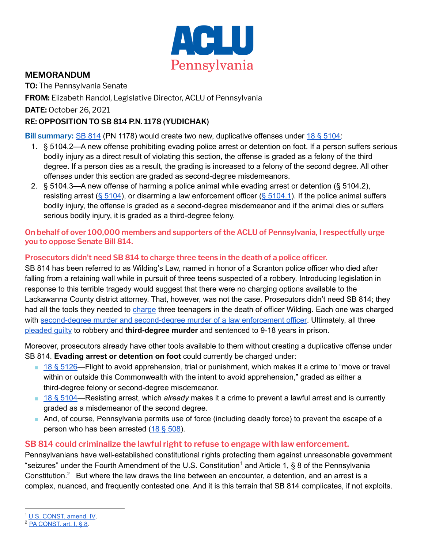

## **MEMORANDUM**

**TO:** The Pennsylvania Senate

**FROM:** Elizabeth Randol, Legislative Director, ACLU of Pennsylvania

**DATE:** October 26, 2021

## **RE: OPPOSITION TO SB 814 P.N. 1178 (YUDICHAK)**

**Bill summary:** SB [814](https://www.legis.state.pa.us/cfdocs/billInfo/billInfo.cfm?sYear=2021&sInd=0&body=S&type=B&bn=0814) (PN 1178) would create two new, duplicative offenses under 18 § [5104:](https://www.legis.state.pa.us/WU01/LI/LI/CT/HTM/18/00.051..HTM)

- 1. § 5104.2—A new offense prohibiting evading police arrest or detention on foot. If a person suffers serious bodily injury as a direct result of violating this section, the offense is graded as a felony of the third degree. If a person dies as a result, the grading is increased to a felony of the second degree. All other offenses under this section are graded as second-degree misdemeanors.
- 2. § 5104.3—A new offense of harming a police animal while evading arrest or detention (§ 5104.2), resisting arrest (§ [5104](https://www.legis.state.pa.us/WU01/LI/LI/CT/HTM/18/00.051..HTM)), or disarming a law enforcement officer (§ [5104.1\)](https://www.legis.state.pa.us/cfdocs/legis/LI/consCheck.cfm?txtType=HTM&ttl=18&div=0&chpt=51&sctn=4&subsctn=1). If the police animal suffers bodily injury, the offense is graded as a second-degree misdemeanor and if the animal dies or suffers serious bodily injury, it is graded as a third-degree felony.

### **On behalf of over 100,000 members and supporters of the ACLU of Pennsylvania, I respectfully urge you to oppose Senate Bill 814.**

### **Prosecutors didn't need SB 814 to charge three teens in the death of a police officer.**

SB 814 has been referred to as Wilding's Law, named in honor of a Scranton police officer who died after falling from a retaining wall while in pursuit of three teens suspected of a robbery. Introducing legislation in response to this terrible tragedy would suggest that there were no charging options available to the Lackawanna County district attorney. That, however, was not the case. Prosecutors didn't need SB 814; they had all the tools they needed to [charge](https://www.timesleader.com/news/376399/robbery-suspects-charged-in-death-of-scranton-police-officer-john-wilding) three teenagers in the death of officer Wilding. Each one was charged with [second-degree](https://www.mcall.com/news/pennsylvania/mc-three-teens-charged-in-scranton-officers-death-20150806-story.html) murder and second-degree murder of a law enforcement officer. Ultimately, all three [pleaded](https://fox56.com/news/local/three-teens-plead-guilty-after-officers-death) guilty to robbery and **third-degree murder** and sentenced to 9-18 years in prison.

Moreover, prosecutors already have other tools available to them without creating a duplicative offense under SB 814. **Evading arrest or detention on foot** could currently be charged under:

- $\blacksquare$  18 § [5126—](https://www.legis.state.pa.us/WU01/LI/LI/CT/HTM/18/00.051.026.000..HTM)Flight to avoid apprehension, trial or punishment, which makes it a crime to "move or travel within or outside this Commonwealth with the intent to avoid apprehension," graded as either a third-degree felony or second-degree misdemeanor.
- 18 § [5104—](https://www.legis.state.pa.us/WU01/LI/LI/CT/HTM/18/00.051..HTM)Resisting arrest, which *already* makes it a crime to prevent a lawful arrest and is currently graded as a misdemeanor of the second degree.
- And, of course, Pennsylvania permits use of force (including deadly force) to prevent the escape of a person who has been arrested  $(18 \text{ } 508)$  $(18 \text{ } 508)$ .

# **SB 814 could criminalize the lawful right to refuse to engage with law enforcement.**

Pennsylvanians have well-established constitutional rights protecting them against unreasonable government "seizures" under the Fourth Amendment of the U.S. Constitution<sup>1</sup> and Article 1, § 8 of the Pennsylvania Constitution. $2$  But where the law draws the line between an encounter, a detention, and an arrest is a complex, nuanced, and frequently contested one. And it is this terrain that SB 814 complicates, if not exploits.

<sup>1</sup> [U.S. CONST. amend. IV](https://casetext.com/statute/constitution-of-united-states/article-amendments/section-amendment-iv-search-and-seizure).

 $2$  PA CONST, art. I,  $88$ .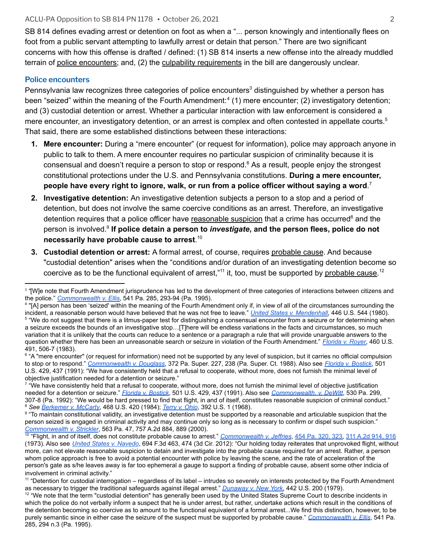SB 814 defines evading arrest or detention on foot as when a "... person knowingly and intentionally flees on foot from a public servant attempting to lawfully arrest or detain that person." There are two significant concerns with how this offense is drafted / defined: (1) SB 814 inserts a new offense into the already muddled terrain of police encounters; and, (2) the culpability requirements in the bill are dangerously unclear.

#### **Police encounters**

Pennsylvania law recognizes three categories of police encounters<sup>3</sup> distinguished by whether a person has been "seized" within the meaning of the Fourth Amendment:<sup>4</sup> (1) mere encounter; (2) investigatory detention; and (3) custodial detention or arrest. Whether a particular interaction with law enforcement is considered a mere encounter, an investigatory detention, or an arrest is complex and often contested in appellate courts.<sup>5</sup> That said, there are some established distinctions between these interactions:

- **1. Mere encounter:** During a "mere encounter" (or request for information), police may approach anyone in public to talk to them. A mere encounter requires no particular suspicion of criminality because it is consensual and doesn't require a person to stop or respond.<sup>6</sup> As a result, people enjoy the strongest constitutional protections under the U.S. and Pennsylvania constitutions. **During a mere encounter, people have every right to ignore, walk, or run from a police officer without saying a word**. 7
- **2. Investigative detention:** An investigative detention subjects a person to a stop and a period of detention, but does not involve the same coercive conditions as an arrest. Therefore, an investigative detention requires that a police officer have reasonable suspicion that a crime has occurred<sup>8</sup> and the person is involved. **If police detain a person to** *investigate***, and the person flees, police do not** 9 **necessarily have probable cause to arrest**. 10
- **3. Custodial detention or arrest:** A formal arrest, of course, requires probable cause. And because "custodial detention" arises when the "conditions and/or duration of an investigating detention become so coercive as to be the functional equivalent of arrest,"<sup>11</sup> it, too, must be supported by probable cause.<sup>12</sup>

<sup>12</sup> "We note that the term "custodial detention" has generally been used by the United States Supreme Court to describe incidents in which the police do not verbally inform a suspect that he is under arrest, but rather, undertake actions which result in the conditions of the detention becoming so coercive as to amount to the functional equivalent of a formal arrest...We find this distinction, however, to be purely semantic since in either case the seizure of the suspect must be supported by probable cause." *[Commonwealth v. Ellis](https://casetext.com/case/commonwealth-v-ellis-31)*, 541 Pa. 285, 294 n.3 (Pa. 1995).

<sup>3</sup> *"*[W]e note that Fourth Amendment jurisprudence has led to the development of three categories of interactions between citizens and the police." *[Commonwealth v. Ellis](https://casetext.com/case/commonwealth-v-ellis-31)*, 541 Pa. 285, 293-94 (Pa. 1995).

<sup>4</sup> "[A] person has been 'seized' within the meaning of the Fourth Amendment only if, in view of all of the circumstances surrounding the incident, a reasonable person would have believed that he was not free to leave." *[United States v. Mendenhall](https://casetext.com/case/united-states-v-mendenhall-3)*, 446 U.S. 544 (1980).

<sup>5</sup> "We do not suggest that there is a litmus-paper test for distinguishing a consensual encounter from a seizure or for determining when a seizure exceeds the bounds of an investigative stop…[T]here will be endless variations in the facts and circumstances, so much variation that it is unlikely that the courts can reduce to a sentence or a paragraph a rule that will provide unarguable answers to the question whether there has been an unreasonable search or seizure in violation of the Fourth Amendment." *[Florida v. Royer](https://casetext.com/case/florida-v-royer#p1329)*, 460 U.S. 491, 506-7 (1983).

<sup>&</sup>lt;sup>6</sup> "A "mere encounter" (or request for information) need not be supported by any level of suspicion, but it carries no official compulsion to stop or to respond." *[Commonwealth v. Douglass](https://casetext.com/case/com-v-douglass-2)*, 372 Pa. Super. 227, 238 (Pa. Super. Ct. 1988). Also see *[Florida v. Bostick](https://casetext.com/case/florida-v-bostick)*, 501 U.S. 429, 437 (1991): "We have consistently held that a refusal to cooperate, without more, does not furnish the minimal level of objective justification needed for a detention or seizure."

<sup>8</sup> *See [Berkemer v. McCarty](https://supreme.justia.com/cases/federal/us/468/420/)*, 468 U.S. 420 (1984); *Terry [v. Ohio](https://supreme.justia.com/cases/federal/us/392/1/)*, 392 U.S. 1 (1968). <sup>7</sup> "We have consistently held that a refusal to cooperate, without more, does not furnish the minimal level of objective justification needed for a detention or seizure." *[Florida v. Bostick](https://casetext.com/case/florida-v-bostick)*, 501 U.S. 429, 437 (1991). Also see *[Commonwealth.](https://casetext.com/case/com-v-dewitt#p1034) v. DeWitt*, 530 Pa. 299, 307-8 (Pa. 1992): "We would be hard pressed to find that flight, in and of itself, constitutes reasonable suspicion of criminal conduct."

<sup>9</sup> "To maintain constitutional validity, an investigative detention must be supported by a reasonable and articulable suspicion that the person seized is engaged in criminal activity and may continue only so long as is necessary to confirm or dispel such suspicion." *[Commonwealth v. Strickler](https://casetext.com/case/com-v-strickler-3#p889)*, 563 Pa. 47, 757 A.2d 884, 889 (2000).

<sup>&</sup>lt;sup>10</sup> "Flight, in and of itself, does not constitute probable cause to arrest." *[Commonwealth v. Jeffries](https://casetext.com/case/commonwealth-v-jeffries)*, 454 Pa. [320, 323,](https://casetext.com/case/commonwealth-v-jeffries#p323) [311 A.2d 914, 916](https://casetext.com/case/commonwealth-v-jeffries#p916) (1973). Also see *[United States v. Navedo](https://caselaw.findlaw.com/us-3rd-circuit/1611631.html)*, 694 F.3d 463, 474 (3d Cir. 2012): "Our holding today reiterates that unprovoked flight, without more, can not elevate reasonable suspicion to detain and investigate into the probable cause required for an arrest. Rather, a person whom police approach is free to avoid a potential encounter with police by leaving the scene, and the rate of acceleration of the person's gate as s/he leaves away is far too ephemeral a gauge to support a finding of probable cause, absent some other indicia of involvement in criminal activity."

<sup>&</sup>lt;sup>11</sup> "Detention for custodial interrogation – regardless of its label – intrudes so severely on interests protected by the Fourth Amendment as necessary to trigger the traditional safeguards against illegal arrest." *[Dunaway v. New York](https://casetext.com/case/dunaway-v-new-york)*, 442 U.S. 200 (1979).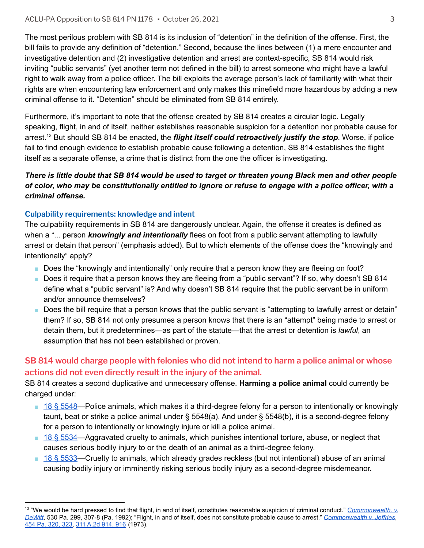The most perilous problem with SB 814 is its inclusion of "detention" in the definition of the offense. First, the bill fails to provide any definition of "detention." Second, because the lines between (1) a mere encounter and investigative detention and (2) investigative detention and arrest are context-specific, SB 814 would risk inviting "public servants" (yet another term not defined in the bill) to arrest someone who might have a lawful right to walk away from a police officer. The bill exploits the average person's lack of familiarity with what their rights are when encountering law enforcement and only makes this minefield more hazardous by adding a new criminal offense to it. "Detention" should be eliminated from SB 814 entirely.

Furthermore, it's important to note that the offense created by SB 814 creates a circular logic. Legally speaking, flight, in and of itself, neither establishes reasonable suspicion for a detention nor probable cause for arrest.<sup>13</sup> But should SB 814 be enacted, the *flight itself could retroactively justify the stop*. Worse, if police fail to find enough evidence to establish probable cause following a detention, SB 814 establishes the flight itself as a separate offense, a crime that is distinct from the one the officer is investigating.

### There is little doubt that SB 814 would be used to target or threaten young Black men and other people of color, who may be constitutionally entitled to ignore or refuse to engage with a police officer, with a *criminal offense.*

### **Culpability requirements: knowledge and intent**

The culpability requirements in SB 814 are dangerously unclear. Again, the offense it creates is defined as when a "... person *knowingly and intentionally* flees on foot from a public servant attempting to lawfully arrest or detain that person" (emphasis added). But to which elements of the offense does the "knowingly and intentionally" apply?

- Does the "knowingly and intentionally" only require that a person know they are fleeing on foot?
- Does it require that a person knows they are fleeing from a "public servant"? If so, why doesn't SB 814 define what a "public servant" is? And why doesn't SB 814 require that the public servant be in uniform and/or announce themselves?
- Does the bill require that a person knows that the public servant is "attempting to lawfully arrest or detain" them? If so, SB 814 not only presumes a person knows that there is an "attempt" being made to arrest or detain them, but it predetermines—as part of the statute—that the arrest or detention is *lawful*, an assumption that has not been established or proven.

### **SB 814 would charge people with felonies who did not intend to harm a police animal or whose actions did not even directly result in the injury of the animal.**

SB 814 creates a second duplicative and unnecessary offense. **Harming a police animal** could currently be charged under:

- 18 § [5548—](https://www.legis.state.pa.us/cfdocs/legis/LI/consCheck.cfm?txtType=HTM&ttl=18&div=0&chpt=55&sctn=48&subsctn=0)Police animals, which makes it a third-degree felony for a person to intentionally or knowingly taunt, beat or strike a police animal under § 5548(a). And under § 5548(b), it is a second-degree felony for a person to intentionally or knowingly injure or kill a police animal.
- 18 § [5534—](https://www.legis.state.pa.us/cfdocs/legis/LI/consCheck.cfm?txtType=HTM&ttl=18&div=0&chpt=55&sctn=34&subsctn=0)Aggravated cruelty to animals, which punishes intentional torture, abuse, or neglect that causes serious bodily injury to or the death of an animal as a third-degree felony.
- $\blacksquare$  18 § [5533—](https://www.legis.state.pa.us/cfdocs/legis/LI/consCheck.cfm?txtType=HTM&ttl=18&div=0&chpt=55&sctn=33&subsctn=0)Cruelty to animals, which already grades reckless (but not intentional) abuse of an animal causing bodily injury or imminently risking serious bodily injury as a second-degree misdemeanor.

<sup>&</sup>lt;sup>13</sup> "We would be hard pressed to find that flight, in and of itself, constitutes reasonable suspicion of criminal conduct." *[Commonwealth. v.](https://casetext.com/case/com-v-dewitt#p1034) [DeWitt](https://casetext.com/case/com-v-dewitt#p1034)*, 530 Pa. 299, 307-8 (Pa. 1992); "Flight, in and of itself, does not constitute probable cause to arrest." *[Commonwealth v. Jeffries](https://casetext.com/case/commonwealth-v-jeffries)*, [454 Pa. 320, 323,](https://casetext.com/case/commonwealth-v-jeffries#p323) [311 A.2d 914, 916](https://casetext.com/case/commonwealth-v-jeffries#p916) (1973).